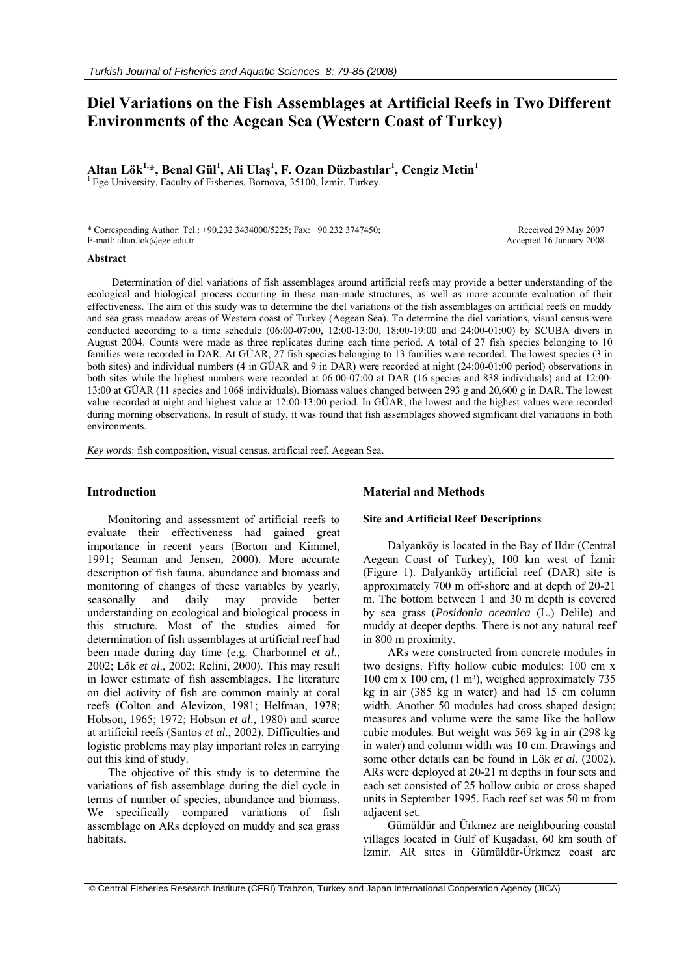# **Diel Variations on the Fish Assemblages at Artificial Reefs in Two Different Environments of the Aegean Sea (Western Coast of Turkey)**

**Altan Lök1,\*, Benal Gül1 , Ali Ulaş 1 , F. Ozan Düzbastılar1 , Cengiz Metin1**

 $<sup>1</sup>$  Ege University, Faculty of Fisheries, Bornova, 35100, İzmir, Turkey.</sup>

| * Corresponding Author: Tel.: +90.232 3434000/5225; Fax: +90.232 3747450; |  |
|---------------------------------------------------------------------------|--|
| E-mail: altan.lok@ege.edu.tr                                              |  |

 Received 29 May 2007 Accepted 16 January 2008

#### **Abstract**

Determination of diel variations of fish assemblages around artificial reefs may provide a better understanding of the ecological and biological process occurring in these man-made structures, as well as more accurate evaluation of their effectiveness. The aim of this study was to determine the diel variations of the fish assemblages on artificial reefs on muddy and sea grass meadow areas of Western coast of Turkey (Aegean Sea). To determine the diel variations, visual census were conducted according to a time schedule (06:00-07:00, 12:00-13:00, 18:00-19:00 and 24:00-01:00) by SCUBA divers in August 2004. Counts were made as three replicates during each time period. A total of 27 fish species belonging to 10 families were recorded in DAR. At GÜAR, 27 fish species belonging to 13 families were recorded. The lowest species (3 in both sites) and individual numbers (4 in GÜAR and 9 in DAR) were recorded at night (24:00-01:00 period) observations in both sites while the highest numbers were recorded at 06:00-07:00 at DAR (16 species and 838 individuals) and at 12:00- 13:00 at GÜAR (11 species and 1068 individuals). Biomass values changed between 293 g and 20,600 g in DAR. The lowest value recorded at night and highest value at 12:00-13:00 period. In GÜAR, the lowest and the highest values were recorded during morning observations. In result of study, it was found that fish assemblages showed significant diel variations in both environments.

*Key words*: fish composition, visual census, artificial reef, Aegean Sea.

# **Introduction**

Monitoring and assessment of artificial reefs to evaluate their effectiveness had gained great importance in recent years (Borton and Kimmel, 1991; Seaman and Jensen, 2000). More accurate description of fish fauna, abundance and biomass and monitoring of changes of these variables by yearly, seasonally and daily may provide better understanding on ecological and biological process in this structure. Most of the studies aimed for determination of fish assemblages at artificial reef had been made during day time (e.g. Charbonnel *et al*., 2002; Lök *et al*., 2002; Relini, 2000). This may result in lower estimate of fish assemblages. The literature on diel activity of fish are common mainly at coral reefs (Colton and Alevizon, 1981; Helfman, 1978; Hobson, 1965; 1972; Hobson *et al*., 1980) and scarce at artificial reefs (Santos *et al*., 2002). Difficulties and logistic problems may play important roles in carrying out this kind of study.

The objective of this study is to determine the variations of fish assemblage during the diel cycle in terms of number of species, abundance and biomass. We specifically compared variations of fish assemblage on ARs deployed on muddy and sea grass habitats.

# **Material and Methods**

### **Site and Artificial Reef Descriptions**

Dalyanköy is located in the Bay of Ildır (Central Aegean Coast of Turkey), 100 km west of İzmir (Figure 1). Dalyanköy artificial reef (DAR) site is approximately 700 m off-shore and at depth of 20-21 m. The bottom between 1 and 30 m depth is covered by sea grass (*Posidonia oceanica* (L.) Delile) and muddy at deeper depths. There is not any natural reef in 800 m proximity.

ARs were constructed from concrete modules in two designs. Fifty hollow cubic modules: 100 cm x 100 cm x 100 cm,  $(1 \text{ m}^3)$ , weighed approximately 735 kg in air (385 kg in water) and had 15 cm column width. Another 50 modules had cross shaped design; measures and volume were the same like the hollow cubic modules. But weight was 569 kg in air (298 kg in water) and column width was 10 cm. Drawings and some other details can be found in Lök *et al*. (2002). ARs were deployed at 20-21 m depths in four sets and each set consisted of 25 hollow cubic or cross shaped units in September 1995. Each reef set was 50 m from adjacent set.

Gümüldür and Ürkmez are neighbouring coastal villages located in Gulf of Kuşadası, 60 km south of İzmir. AR sites in Gümüldür-Ürkmez coast are

© Central Fisheries Research Institute (CFRI) Trabzon, Turkey and Japan International Cooperation Agency (JICA)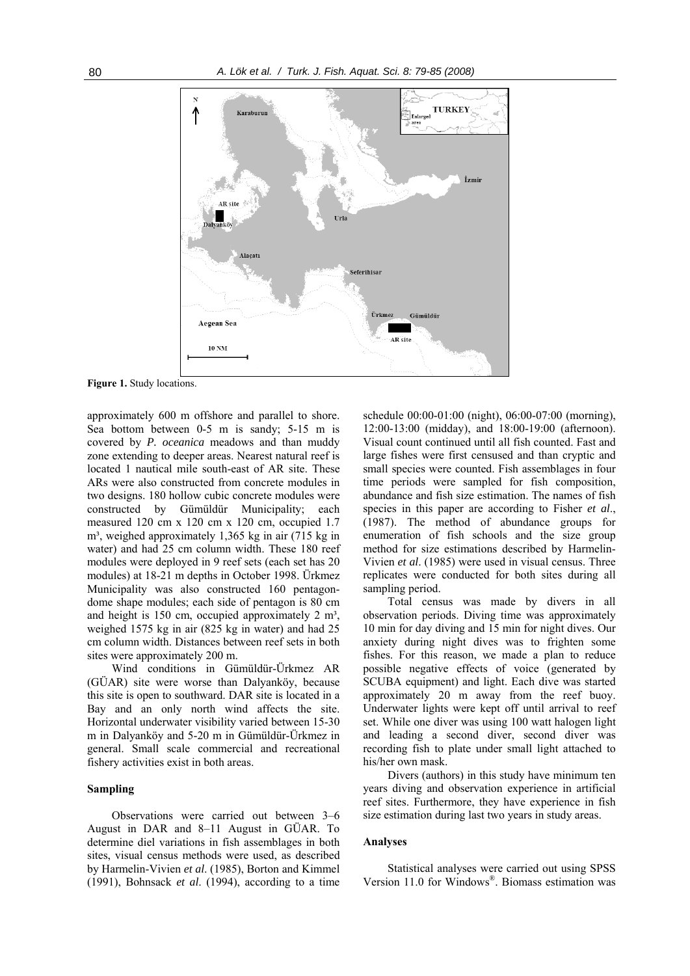

**Figure 1.** Study locations.

approximately 600 m offshore and parallel to shore. Sea bottom between 0-5 m is sandy; 5-15 m is covered by *P. oceanica* meadows and than muddy zone extending to deeper areas. Nearest natural reef is located 1 nautical mile south-east of AR site. These ARs were also constructed from concrete modules in two designs. 180 hollow cubic concrete modules were constructed by Gümüldür Municipality; each measured 120 cm x 120 cm x 120 cm, occupied 1.7  $m<sup>3</sup>$ , weighed approximately 1,365 kg in air (715 kg in water) and had 25 cm column width. These 180 reef modules were deployed in 9 reef sets (each set has 20 modules) at 18-21 m depths in October 1998. Ürkmez Municipality was also constructed 160 pentagondome shape modules; each side of pentagon is 80 cm and height is 150 cm, occupied approximately  $2 \text{ m}^3$ , weighed 1575 kg in air (825 kg in water) and had 25 cm column width. Distances between reef sets in both sites were approximately 200 m.

Wind conditions in Gümüldür-Ürkmez AR (GÜAR) site were worse than Dalyanköy, because this site is open to southward. DAR site is located in a Bay and an only north wind affects the site. Horizontal underwater visibility varied between 15-30 m in Dalyanköy and 5-20 m in Gümüldür-Ürkmez in general. Small scale commercial and recreational fishery activities exist in both areas.

## **Sampling**

Observations were carried out between 3–6 August in DAR and 8–11 August in GÜAR. To determine diel variations in fish assemblages in both sites, visual census methods were used, as described by Harmelin-Vivien *et al*. (1985), Borton and Kimmel (1991), Bohnsack *et al*. (1994), according to a time

schedule 00:00-01:00 (night), 06:00-07:00 (morning), 12:00-13:00 (midday), and 18:00-19:00 (afternoon). Visual count continued until all fish counted. Fast and large fishes were first censused and than cryptic and small species were counted. Fish assemblages in four time periods were sampled for fish composition, abundance and fish size estimation. The names of fish species in this paper are according to Fisher *et al*., (1987). The method of abundance groups for enumeration of fish schools and the size group method for size estimations described by Harmelin-Vivien *et al*. (1985) were used in visual census. Three replicates were conducted for both sites during all sampling period.

Total census was made by divers in all observation periods. Diving time was approximately 10 min for day diving and 15 min for night dives. Our anxiety during night dives was to frighten some fishes. For this reason, we made a plan to reduce possible negative effects of voice (generated by SCUBA equipment) and light. Each dive was started approximately 20 m away from the reef buoy. Underwater lights were kept off until arrival to reef set. While one diver was using 100 watt halogen light and leading a second diver, second diver was recording fish to plate under small light attached to his/her own mask.

Divers (authors) in this study have minimum ten years diving and observation experience in artificial reef sites. Furthermore, they have experience in fish size estimation during last two years in study areas.

#### **Analyses**

Statistical analyses were carried out using SPSS Version 11.0 for Windows®. Biomass estimation was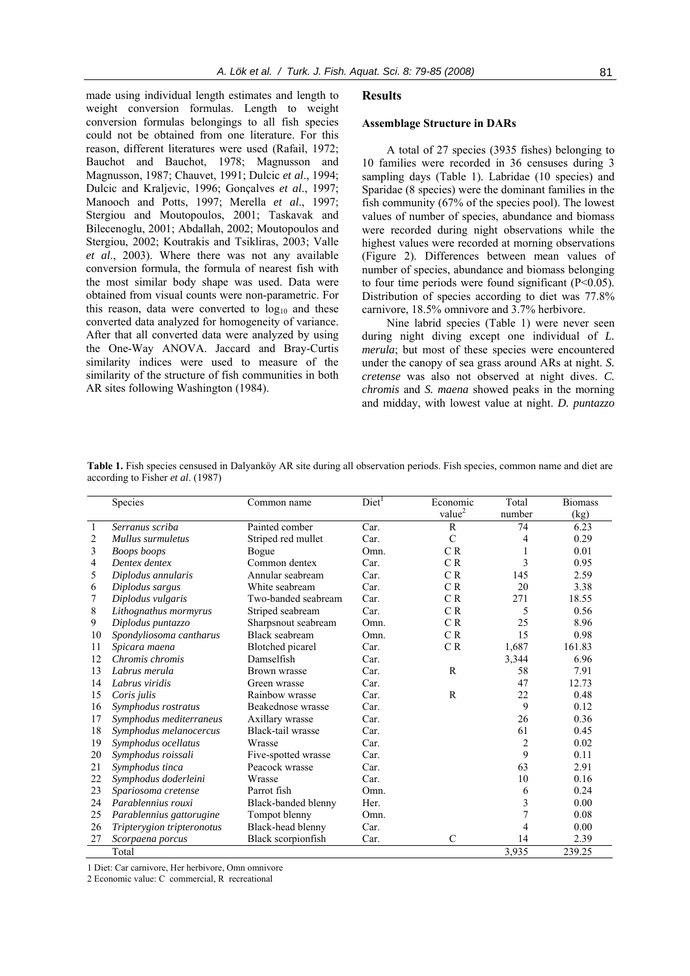made using individual length estimates and length to weight conversion formulas. Length to weight conversion formulas belongings to all fish species could not be obtained from one literature. For this reason, different literatures were used (Rafail, 1972; Bauchot and Bauchot, 1978; Magnusson and Magnusson, 1987; Chauvet, 1991; Dulcic *et al*., 1994; Dulcic and Kraljevic, 1996; Gonçalves *et al*., 1997; Manooch and Potts, 1997; Merella *et al*., 1997; Stergiou and Moutopoulos, 2001; Taskavak and Bilecenoglu, 2001; Abdallah, 2002; Moutopoulos and Stergiou, 2002; Koutrakis and Tsikliras, 2003; Valle *et al*., 2003). Where there was not any available conversion formula, the formula of nearest fish with the most similar body shape was used. Data were obtained from visual counts were non-parametric. For this reason, data were converted to  $log_{10}$  and these converted data analyzed for homogeneity of variance. After that all converted data were analyzed by using the One-Way ANOVA. Jaccard and Bray-Curtis similarity indices were used to measure of the similarity of the structure of fish communities in both AR sites following Washington (1984).

#### **Results**

#### **Assemblage Structure in DARs**

A total of 27 species (3935 fishes) belonging to 10 families were recorded in 36 censuses during 3 sampling days (Table 1). Labridae (10 species) and Sparidae (8 species) were the dominant families in the fish community (67% of the species pool). The lowest values of number of species, abundance and biomass were recorded during night observations while the highest values were recorded at morning observations (Figure 2). Differences between mean values of number of species, abundance and biomass belonging to four time periods were found significant (P<0.05). Distribution of species according to diet was 77.8% carnivore, 18.5% omnivore and 3.7% herbivore.

Nine labrid species (Table 1) were never seen during night diving except one individual of *L*. *merula*; but most of these species were encountered under the canopy of sea grass around ARs at night. *S. cretense* was also not observed at night dives. *C. chromis* and *S. maena* showed peaks in the morning and midday, with lowest value at night. *D. puntazzo*

|                                          |  |  | <b>Table 1.</b> Fish species censused in Dalyanköy AR site during all observation periods. Fish species, common name and diet are |  |
|------------------------------------------|--|--|-----------------------------------------------------------------------------------------------------------------------------------|--|
| according to Fisher <i>et al.</i> (1987) |  |  |                                                                                                                                   |  |

|    | Species                    | Common name             | Diet <sup>1</sup> | Economic      | Total          | <b>Biomass</b> |
|----|----------------------------|-------------------------|-------------------|---------------|----------------|----------------|
|    |                            |                         |                   | value $^2$    | number         | (kg)           |
| 1  | Serranus scriba            | Painted comber          | Car.              | $\mathbb{R}$  | 74             | 6.23           |
| 2  | Mullus surmuletus          | Striped red mullet      | Car.              | $\mathcal{C}$ | 4              | 0.29           |
| 3  | Boops boops                | Bogue                   | Omn.              | CR            | 1              | 0.01           |
| 4  | Dentex dentex              | Common dentex           | Car.              | CR            | 3              | 0.95           |
| 5  | Diplodus annularis         | Annular seabream        | Car.              | CR.           | 145            | 2.59           |
| 6  | Diplodus sargus            | White seabream          | Car.              | C R           | 20             | 3.38           |
| 7  | Diplodus vulgaris          | Two-banded seabream     | Car.              | C R           | 271            | 18.55          |
| 8  | Lithognathus mormyrus      | Striped seabream        | Car.              | C R           | 5              | 0.56           |
| 9  | Diplodus puntazzo          | Sharpsnout seabream     | Omn.              | C R           | 25             | 8.96           |
| 10 | Spondyliosoma cantharus    | <b>Black</b> seabream   | Omn.              | C R           | 15             | 0.98           |
| 11 | Spicara maena              | <b>Blotched</b> picarel | Car.              | C R           | 1,687          | 161.83         |
| 12 | Chromis chromis            | Damselfish              | Car.              |               | 3,344          | 6.96           |
| 13 | Labrus merula              | Brown wrasse            | Car.              | $\mathbb{R}$  | 58             | 7.91           |
| 14 | Labrus viridis             | Green wrasse            | Car.              |               | 47             | 12.73          |
| 15 | Coris julis                | Rainbow wrasse          | Car.              | $\mathbb{R}$  | 22             | 0.48           |
| 16 | Symphodus rostratus        | Beakednose wrasse       | Car.              |               | 9              | 0.12           |
| 17 | Symphodus mediterraneus    | Axillary wrasse         | Car.              |               | 26             | 0.36           |
| 18 | Symphodus melanocercus     | Black-tail wrasse       | Car.              |               | 61             | 0.45           |
| 19 | Symphodus ocellatus        | Wrasse                  | Car.              |               | $\overline{2}$ | 0.02           |
| 20 | Symphodus roissali         | Five-spotted wrasse     | Car.              |               | 9              | 0.11           |
| 21 | Symphodus tinca            | Peacock wrasse          | Car.              |               | 63             | 2.91           |
| 22 | Symphodus doderleini       | Wrasse                  | Car.              |               | 10             | 0.16           |
| 23 | Spariosoma cretense        | Parrot fish             | Omn.              |               | 6              | 0.24           |
| 24 | Parablennius rouxi         | Black-banded blenny     | Her.              |               | 3              | 0.00           |
| 25 | Parablennius gattorugine   | Tompot blenny           | Omn.              |               | $\overline{7}$ | 0.08           |
| 26 | Tripterygion tripteronotus | Black-head blenny       | Car.              |               | 4              | 0.00           |
| 27 | Scorpaena porcus           | Black scorpionfish      | Car.              | C             | 14             | 2.39           |
|    | Total                      |                         |                   |               | 3,935          | 239.25         |

1 Diet: Car carnivore, Her herbivore, Omn omnivore

2 Economic value: C commercial, R recreational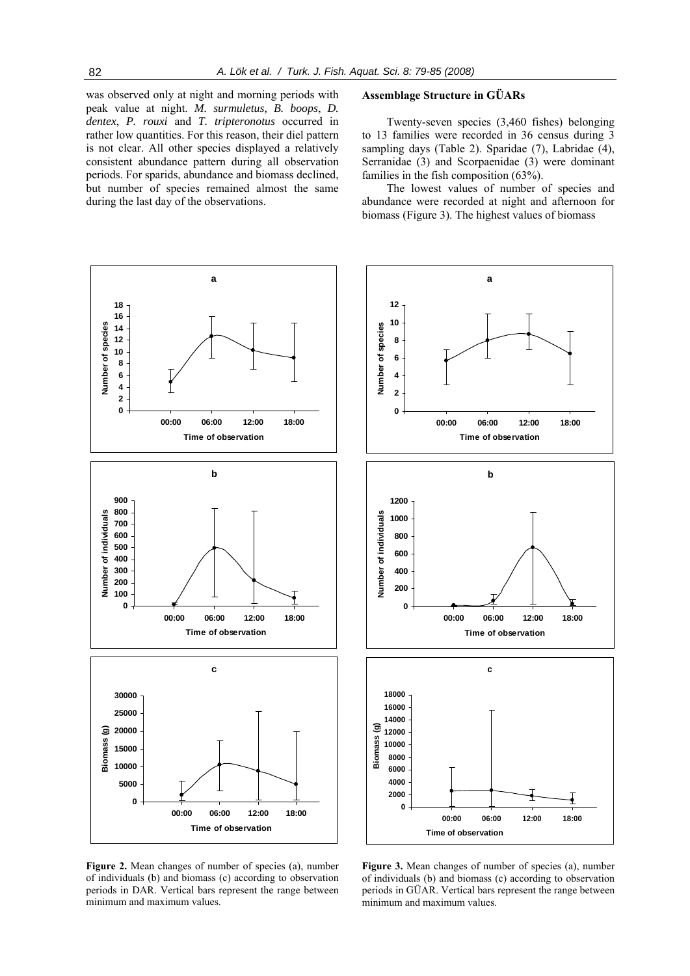was observed only at night and morning periods with peak value at night. *M. surmuletus, B. boops*, *D. dentex*, *P. rouxi* and *T. tripteronotus* occurred in rather low quantities. For this reason, their diel pattern is not clear. All other species displayed a relatively consistent abundance pattern during all observation periods. For sparids, abundance and biomass declined, but number of species remained almost the same during the last day of the observations.

## **Assemblage Structure in GÜARs**

Twenty-seven species (3,460 fishes) belonging to 13 families were recorded in 36 census during 3 sampling days (Table 2). Sparidae (7), Labridae (4), Serranidae (3) and Scorpaenidae (3) were dominant families in the fish composition (63%).

The lowest values of number of species and abundance were recorded at night and afternoon for biomass (Figure 3). The highest values of biomass



**Figure 2.** Mean changes of number of species (a), number of individuals (b) and biomass (c) according to observation periods in DAR. Vertical bars represent the range between minimum and maximum values.



Figure 3. Mean changes of number of species (a), number of individuals (b) and biomass (c) according to observation periods in GÜAR. Vertical bars represent the range between minimum and maximum values.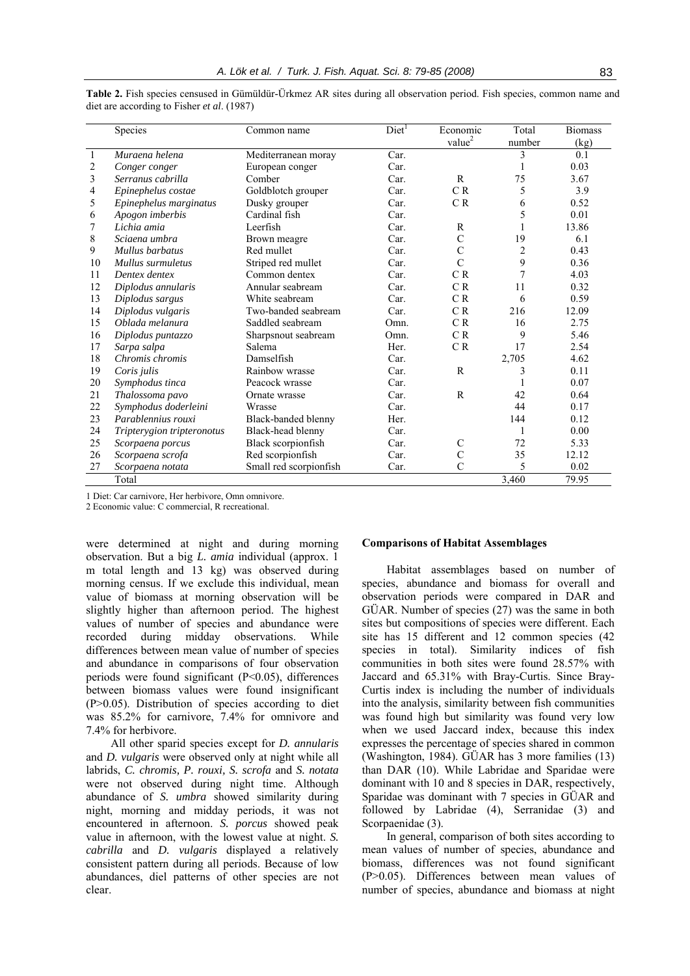|              | Species                    | Common name            | Diet <sup>1</sup> | Economic           | Total          | <b>Biomass</b> |
|--------------|----------------------------|------------------------|-------------------|--------------------|----------------|----------------|
|              |                            |                        |                   | value <sup>2</sup> | number         | (kg)           |
| $\mathbf{1}$ | Muraena helena             | Mediterranean moray    | Car.              |                    | 3              | 0.1            |
| 2            | Conger conger              | European conger        | Car.              |                    |                | 0.03           |
| 3            | Serranus cabrilla          | Comber                 | Car.              | R                  | 75             | 3.67           |
| 4            | Epinephelus costae         | Goldblotch grouper     | Car.              | C R                | 5              | 3.9            |
| 5            | Epinephelus marginatus     | Dusky grouper          | Car.              | C R                | 6              | 0.52           |
| 6            | Apogon imberbis            | Cardinal fish          | Car.              |                    | 5              | 0.01           |
| 7            | Lichia amia                | Leerfish               | Car.              | $\mathbb{R}$       |                | 13.86          |
| 8            | Sciaena umbra              | Brown meagre           | Car.              | $\mathcal{C}$      | 19             | 6.1            |
| 9            | Mullus barbatus            | Red mullet             | Car.              | $\mathcal{C}$      | $\overline{c}$ | 0.43           |
| 10           | Mullus surmuletus          | Striped red mullet     | Car.              | $\overline{C}$     | 9              | 0.36           |
| 11           | Dentex dentex              | Common dentex          | Car.              | C R                | $\overline{7}$ | 4.03           |
| 12           | Diplodus annularis         | Annular seabream       | Car.              | C R                | 11             | 0.32           |
| 13           | Diplodus sargus            | White seabream         | Car.              | C R                | 6              | 0.59           |
| 14           | Diplodus vulgaris          | Two-banded seabream    | Car.              | C R                | 216            | 12.09          |
| 15           | Oblada melanura            | Saddled seabream       | Omn.              | C R                | 16             | 2.75           |
| 16           | Diplodus puntazzo          | Sharpsnout seabream    | Omn.              | C R                | 9              | 5.46           |
| 17           | Sarpa salpa                | Salema                 | Her.              | CR                 | 17             | 2.54           |
| 18           | Chromis chromis            | Damselfish             | Car.              |                    | 2,705          | 4.62           |
| 19           | Coris julis                | Rainbow wrasse         | Car.              | R                  | 3              | 0.11           |
| 20           | Symphodus tinca            | Peacock wrasse         | Car.              |                    |                | 0.07           |
| 21           | Thalossoma pavo            | Ornate wrasse          | Car.              | $\mathbf{R}$       | 42             | 0.64           |
| 22           | Symphodus doderleini       | Wrasse                 | Car.              |                    | 44             | 0.17           |
| 23           | Parablennius rouxi         | Black-banded blenny    | Her.              |                    | 144            | 0.12           |
| 24           | Tripterygion tripteronotus | Black-head blenny      | Car.              |                    | 1              | 0.00           |
| 25           | Scorpaena porcus           | Black scorpionfish     | Car.              | C                  | 72             | 5.33           |
| 26           | Scorpaena scrofa           | Red scorpionfish       | Car.              | C                  | 35             | 12.12          |
| 27           | Scorpaena notata           | Small red scorpionfish | Car.              | C                  | 5              | 0.02           |
|              | Total                      |                        |                   |                    | 3,460          | 79.95          |

**Table 2.** Fish species censused in Gümüldür-Ürkmez AR sites during all observation period. Fish species, common name and diet are according to Fisher *et al*. (1987)

1 Diet: Car carnivore, Her herbivore, Omn omnivore.

2 Economic value: C commercial, R recreational.

were determined at night and during morning observation. But a big *L. amia* individual (approx. 1 m total length and 13 kg) was observed during morning census. If we exclude this individual, mean value of biomass at morning observation will be slightly higher than afternoon period. The highest values of number of species and abundance were recorded during midday observations. While differences between mean value of number of species and abundance in comparisons of four observation periods were found significant (P<0.05), differences between biomass values were found insignificant (P>0.05). Distribution of species according to diet was 85.2% for carnivore, 7.4% for omnivore and 7.4% for herbivore.

All other sparid species except for *D. annularis* and *D. vulgaris* were observed only at night while all labrids, *C. chromis, P. rouxi, S. scrofa* and *S. notata* were not observed during night time. Although abundance of *S. umbra* showed similarity during night, morning and midday periods, it was not encountered in afternoon. *S. porcus* showed peak value in afternoon, with the lowest value at night. *S. cabrilla* and *D. vulgaris* displayed a relatively consistent pattern during all periods. Because of low abundances, diel patterns of other species are not clear.

## **Comparisons of Habitat Assemblages**

Habitat assemblages based on number of species, abundance and biomass for overall and observation periods were compared in DAR and GÜAR. Number of species (27) was the same in both sites but compositions of species were different. Each site has 15 different and 12 common species (42 species in total). Similarity indices of fish communities in both sites were found 28.57% with Jaccard and 65.31% with Bray-Curtis. Since Bray-Curtis index is including the number of individuals into the analysis, similarity between fish communities was found high but similarity was found very low when we used Jaccard index, because this index expresses the percentage of species shared in common (Washington, 1984). GÜAR has 3 more families (13) than DAR (10). While Labridae and Sparidae were dominant with 10 and 8 species in DAR, respectively, Sparidae was dominant with 7 species in GÜAR and followed by Labridae (4), Serranidae (3) and Scorpaenidae (3).

In general, comparison of both sites according to mean values of number of species, abundance and biomass, differences was not found significant (P>0.05). Differences between mean values of number of species, abundance and biomass at night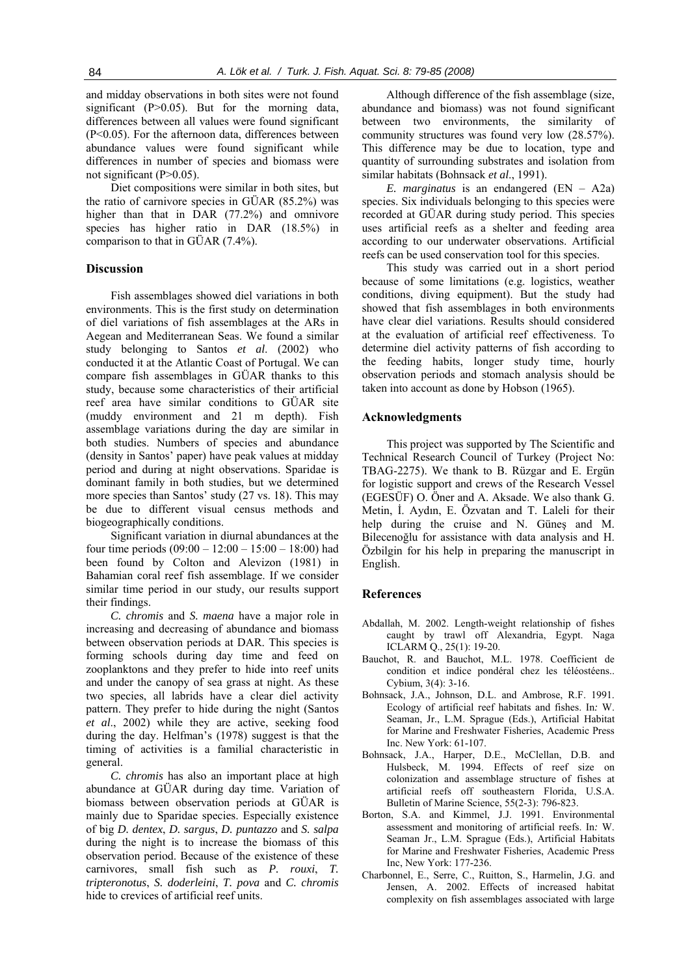and midday observations in both sites were not found significant (P>0.05). But for the morning data, differences between all values were found significant (P<0.05). For the afternoon data, differences between abundance values were found significant while differences in number of species and biomass were not significant (P>0.05).

Diet compositions were similar in both sites, but the ratio of carnivore species in GÜAR (85.2%) was higher than that in DAR (77.2%) and omnivore species has higher ratio in DAR (18.5%) in comparison to that in GÜAR (7.4%).

## **Discussion**

Fish assemblages showed diel variations in both environments. This is the first study on determination of diel variations of fish assemblages at the ARs in Aegean and Mediterranean Seas. We found a similar study belonging to Santos *et al*. (2002) who conducted it at the Atlantic Coast of Portugal. We can compare fish assemblages in GÜAR thanks to this study, because some characteristics of their artificial reef area have similar conditions to GÜAR site (muddy environment and 21 m depth). Fish assemblage variations during the day are similar in both studies. Numbers of species and abundance (density in Santos' paper) have peak values at midday period and during at night observations. Sparidae is dominant family in both studies, but we determined more species than Santos' study (27 vs. 18). This may be due to different visual census methods and biogeographically conditions.

Significant variation in diurnal abundances at the four time periods  $(09:00 - 12:00 - 15:00 - 18:00)$  had been found by Colton and Alevizon (1981) in Bahamian coral reef fish assemblage. If we consider similar time period in our study, our results support their findings.

*C. chromis* and *S. maena* have a major role in increasing and decreasing of abundance and biomass between observation periods at DAR. This species is forming schools during day time and feed on zooplanktons and they prefer to hide into reef units and under the canopy of sea grass at night. As these two species, all labrids have a clear diel activity pattern. They prefer to hide during the night (Santos *et al*., 2002) while they are active, seeking food during the day. Helfman's (1978) suggest is that the timing of activities is a familial characteristic in general.

*C. chromis* has also an important place at high abundance at GÜAR during day time. Variation of biomass between observation periods at GÜAR is mainly due to Sparidae species. Especially existence of big *D. dentex*, *D. sargus*, *D. puntazzo* and *S. salpa* during the night is to increase the biomass of this observation period. Because of the existence of these carnivores, small fish such as *P. rouxi*, *T. tripteronotus*, *S. doderleini*, *T. pova* and *C. chromis* hide to crevices of artificial reef units.

Although difference of the fish assemblage (size, abundance and biomass) was not found significant between two environments, the similarity of community structures was found very low (28.57%). This difference may be due to location, type and quantity of surrounding substrates and isolation from similar habitats (Bohnsack *et al*., 1991).

*E. marginatus* is an endangered (EN – A2a) species. Six individuals belonging to this species were recorded at GÜAR during study period. This species uses artificial reefs as a shelter and feeding area according to our underwater observations. Artificial reefs can be used conservation tool for this species.

This study was carried out in a short period because of some limitations (e.g. logistics, weather conditions, diving equipment). But the study had showed that fish assemblages in both environments have clear diel variations. Results should considered at the evaluation of artificial reef effectiveness. To determine diel activity patterns of fish according to the feeding habits, longer study time, hourly observation periods and stomach analysis should be taken into account as done by Hobson (1965).

# **Acknowledgments**

This project was supported by The Scientific and Technical Research Council of Turkey (Project No: TBAG-2275). We thank to B. Rüzgar and E. Ergün for logistic support and crews of the Research Vessel (EGESÜF) O. Öner and A. Aksade. We also thank G. Metin, İ. Aydın, E. Özvatan and T. Laleli for their help during the cruise and N. Güneş and M. Bilecenoğlu for assistance with data analysis and H. Özbilgin for his help in preparing the manuscript in English.

## **References**

- Abdallah, M. 2002. Length-weight relationship of fishes caught by trawl off Alexandria, Egypt. Naga ICLARM Q., 25(1): 19-20.
- Bauchot, R. and Bauchot, M.L. 1978. Coefficient de condition et indice pondéral chez les téléostéens.. Cybium, 3(4): 3-16.
- Bohnsack, J.A., Johnson, D.L. and Ambrose, R.F. 1991. Ecology of artificial reef habitats and fishes. In*:* W. Seaman, Jr., L.M. Sprague (Eds.), Artificial Habitat for Marine and Freshwater Fisheries, Academic Press Inc. New York: 61-107.
- Bohnsack, J.A., Harper, D.E., McClellan, D.B. and Hulsbeck, M. 1994. Effects of reef size on colonization and assemblage structure of fishes at artificial reefs off southeastern Florida, U.S.A. Bulletin of Marine Science, 55(2-3): 796-823.
- Borton, S.A. and Kimmel, J.J. 1991. Environmental assessment and monitoring of artificial reefs. In*:* W. Seaman Jr., L.M. Sprague (Eds.), Artificial Habitats for Marine and Freshwater Fisheries, Academic Press Inc, New York: 177-236.
- Charbonnel, E., Serre, C., Ruitton, S., Harmelin, J.G. and Jensen, A. 2002. Effects of increased habitat complexity on fish assemblages associated with large